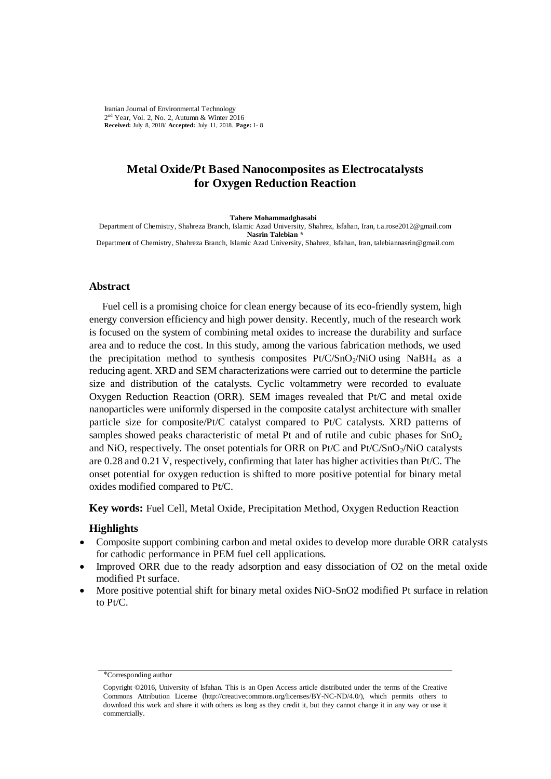Iranian Journal of Environmental Technology 2 nd Year, Vol. 2, No. 2, Autumn & Winter 2016 **Received:** July 8, 2018/ **Accepted:** July 11, 2018. **Page:** 1- 8

# **Metal Oxide/Pt Based Nanocomposites as Electrocatalysts for Oxygen Reduction Reaction**

**Tahere Mohammadghasabi**  Department of Chemistry, Shahreza Branch, Islamic Azad University, Shahrez, Isfahan, Iran, t.a.rose2012@gmail.com **Nasrin Talebian \*** Department of Chemistry, Shahreza Branch, Islamic Azad University, Shahrez, Isfahan, Iran, talebiannasrin@gmail.com

#### **Abstract**

Fuel cell is a promising choice for clean energy because of its eco-friendly system, high energy conversion efficiency and high power density. Recently, much of the research work is focused on the system of combining metal oxides to increase the durability and surface area and to reduce the cost. In this study, among the various fabrication methods, we used the precipitation method to synthesis composites  $Pt/C/SnO<sub>2</sub>/NiO$  using NaBH<sub>4</sub> as a reducing agent. XRD and SEM characterizations were carried out to determine the particle size and distribution of the catalysts. Cyclic voltammetry were recorded to evaluate Oxygen Reduction Reaction (ORR). SEM images revealed that Pt/C and metal oxide nanoparticles were uniformly dispersed in the composite catalyst architecture with smaller particle size for composite/Pt/C catalyst compared to Pt/C catalysts. XRD patterns of samples showed peaks characteristic of metal Pt and of rutile and cubic phases for  $SnO<sub>2</sub>$ and NiO, respectively. The onset potentials for ORR on Pt/C and Pt/C/SnO<sub>2</sub>/NiO catalysts are 0.28 and 0.21 V, respectively, confirming that later has higher activities than Pt/C. The onset potential for oxygen reduction is shifted to more positive potential for binary metal oxides modified compared to Pt/C.

**Key words:** Fuel Cell, Metal Oxide, Precipitation Method, Oxygen Reduction Reaction

#### **Highlights**

- Composite support combining carbon and metal oxides to develop more durable ORR catalysts for cathodic performance in PEM fuel cell applications.
- Improved ORR due to the ready adsorption and easy dissociation of O2 on the metal oxide modified Pt surface.
- More positive potential shift for binary metal oxides NiO-SnO2 modified Pt surface in relation to Pt/C.

<sup>\*</sup>Corresponding author

Copyright ©2016, University of Isfahan. This is an Open Access article distributed under the terms of the Creative Commons Attribution License (http://creativecommons.org/licenses/BY-NC-ND/4.0/), which permits others to download this work and share it with others as long as they credit it, but they cannot change it in any way or use it commercially.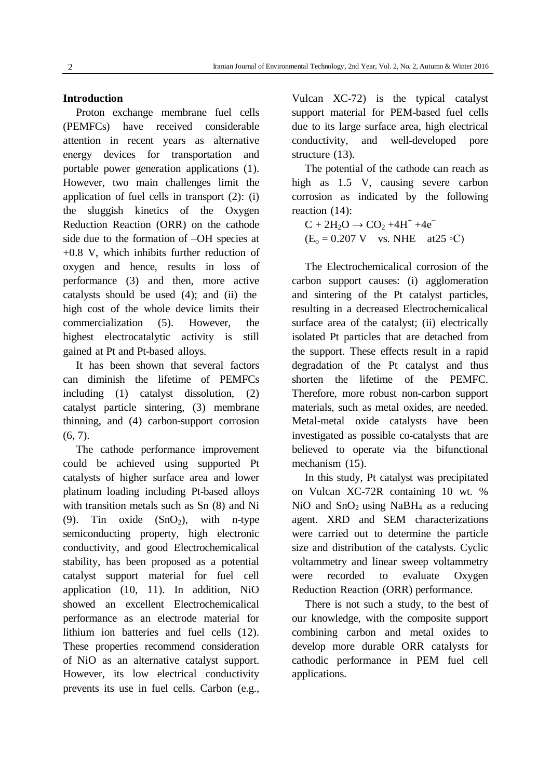### **Introduction**

Proton exchange membrane fuel cells (PEMFCs) have received considerable attention in recent years as alternative energy devices for transportation and portable power generation applications (1). However, two main challenges limit the application of fuel cells in transport (2): (i) the sluggish kinetics of the Oxygen Reduction Reaction (ORR) on the cathode side due to the formation of –OH species at +0.8 V, which inhibits further reduction of oxygen and hence, results in loss of performance (3) and then, more active catalysts should be used (4); and (ii) the high cost of the whole device limits their commercialization (5). However, the highest electrocatalytic activity is still gained at Pt and Pt-based alloys.

It has been shown that several factors can diminish the lifetime of PEMFCs including (1) catalyst dissolution, (2) catalyst particle sintering, (3) membrane thinning, and (4) carbon-support corrosion  $(6, 7)$ .

The cathode performance improvement could be achieved using supported Pt catalysts of higher surface area and lower platinum loading including Pt-based alloys with transition metals such as Sn (8) and Ni (9). Tin  $oxide$  (SnO<sub>2</sub>), with n-type semiconducting property, high electronic conductivity, and good Electrochemicalical stability, has been proposed as a potential catalyst support material for fuel cell application (10, 11). In addition, NiO showed an excellent Electrochemicalical performance as an electrode material for lithium ion batteries and fuel cells (12). These properties recommend consideration of NiO as an alternative catalyst support. However, its low electrical conductivity prevents its use in fuel cells. Carbon (e.g., Vulcan XC-72) is the typical catalyst support material for PEM-based fuel cells due to its large surface area, high electrical conductivity, and well-developed pore structure (13).

The potential of the cathode can reach as high as 1.5 V, causing severe carbon corrosion as indicated by the following reaction (14):

 $C + 2H_2O \rightarrow CO_2 + 4H^+ + 4e^ (E_0 = 0.207 \text{ V} \text{ vs. NHE} \text{ at} 25 \text{ °C})$ 

The Electrochemicalical corrosion of the carbon support causes: (i) agglomeration and sintering of the Pt catalyst particles, resulting in a decreased Electrochemicalical surface area of the catalyst; (ii) electrically isolated Pt particles that are detached from the support. These effects result in a rapid degradation of the Pt catalyst and thus shorten the lifetime of the PEMFC. Therefore, more robust non-carbon support materials, such as metal oxides, are needed. Metal-metal oxide catalysts have been investigated as possible co-catalysts that are believed to operate via the bifunctional mechanism  $(15)$ .

In this study, Pt catalyst was precipitated on Vulcan XC-72R containing 10 wt. % NiO and  $SnO<sub>2</sub>$  using NaBH<sub>4</sub> as a reducing agent. XRD and SEM characterizations were carried out to determine the particle size and distribution of the catalysts. Cyclic voltammetry and linear sweep voltammetry were recorded to evaluate Oxygen Reduction Reaction (ORR) performance.

There is not such a study, to the best of our knowledge, with the composite support combining carbon and metal oxides to develop more durable ORR catalysts for cathodic performance in PEM fuel cell applications.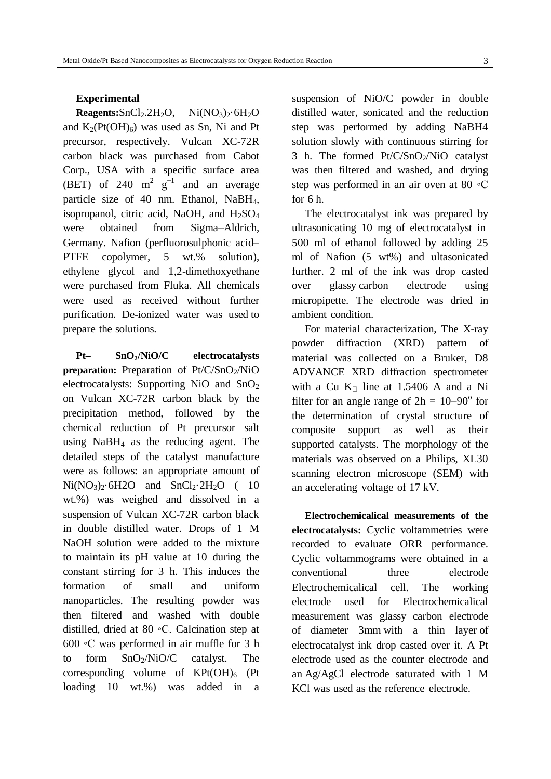#### **Experimental**

**Reagents:**SnCl<sub>2</sub>.2H<sub>2</sub>O, Ni(NO<sub>3</sub>)<sub>2</sub>·6H<sub>2</sub>O and  $K_2(Pt(OH)_6)$  was used as Sn, Ni and Pt precursor, respectively. Vulcan XC-72R carbon black was purchased from Cabot Corp., USA with a specific surface area (BET) of 240  $m^2$   $g^{-1}$  and an average particle size of 40 nm. Ethanol, NaBH4, isopropanol, citric acid, NaOH, and  $H<sub>2</sub>SO<sub>4</sub>$ were obtained from Sigma–Aldrich, Germany. Nafion (perfluorosulphonic acid– PTFE copolymer, 5 wt.% solution), ethylene glycol and 1,2-dimethoxyethane were purchased from Fluka. All chemicals were used as received without further purification. De-ionized water was used to prepare the solutions.

**Pt– SnO2/NiO/C electrocatalysts preparation:** Preparation of Pt/C/SnO<sub>2</sub>/NiO electrocatalysts: Supporting NiO and SnO<sup>2</sup> on Vulcan XC-72R carbon black by the precipitation method, followed by the chemical reduction of Pt precursor salt using NaBH<sup>4</sup> as the reducing agent. The detailed steps of the catalyst manufacture were as follows: an appropriate amount of  $Ni(NO<sub>3</sub>)<sub>2</sub>·6H2O$  and  $SnCl<sub>2</sub>·2H<sub>2</sub>O$  ( 10 wt.%) was weighed and dissolved in a suspension of Vulcan XC-72R carbon black in double distilled water. Drops of 1 M NaOH solution were added to the mixture to maintain its pH value at 10 during the constant stirring for 3 h. This induces the formation of small and uniform nanoparticles. The resulting powder was then filtered and washed with double distilled, dried at 80 ◦C. Calcination step at 600 ◦C was performed in air muffle for 3 h to form  $SnO_2/NiO/C$  catalyst. The corresponding volume of  $KPt(OH)_6$  (Pt loading 10 wt.%) was added in a suspension of NiO/C powder in double distilled water, sonicated and the reduction step was performed by adding NaBH4 solution slowly with continuous stirring for 3 h. The formed Pt/C/SnO2/NiO catalyst was then filtered and washed, and drying step was performed in an air oven at 80 ◦C for 6 h.

The electrocatalyst ink was prepared by ultrasonicating 10 mg of electrocatalyst in 500 ml of ethanol followed by adding 25 ml of Nafion (5 wt%) and ultasonicated further. 2 ml of the ink was drop casted over glassy carbon electrode using micropipette. The electrode was dried in ambient condition.

For material characterization, The X-ray powder diffraction (XRD) pattern of material was collected on a Bruker, D8 ADVANCE XRD diffraction spectrometer with a Cu  $K_{\Box}$  line at 1.5406 A and a Ni filter for an angle range of  $2h = 10-90^{\circ}$  for the determination of crystal structure of composite support as well as their supported catalysts. The morphology of the materials was observed on a Philips, XL30 scanning electron microscope (SEM) with an accelerating voltage of 17 kV.

**Electrochemicalical measurements of the electrocatalysts:** Cyclic voltammetries were recorded to evaluate ORR performance. Cyclic voltammograms were obtained in a conventional three electrode Electrochemicalical cell. The working electrode used for Electrochemicalical measurement was glassy carbon electrode of diameter 3mm with a thin layer of electrocatalyst ink drop casted over it. A Pt electrode used as the counter electrode and an Ag/AgCl electrode saturated with 1 M KCl was used as the reference electrode.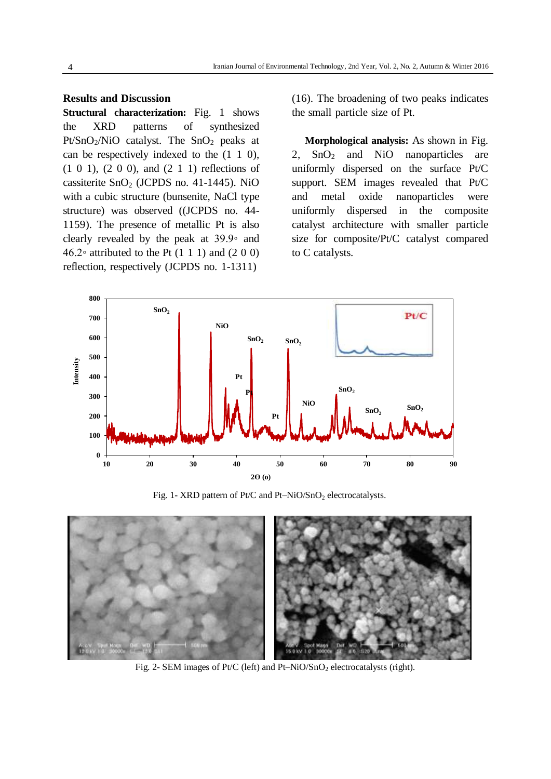#### **Results and Discussion**

**Structural characterization:** Fig. 1 shows the XRD patterns of synthesized Pt/SnO<sub>2</sub>/NiO catalyst. The SnO<sub>2</sub> peaks at can be respectively indexed to the (1 1 0), (1 0 1), (2 0 0), and (2 1 1) reflections of cassiterite SnO<sub>2</sub> (JCPDS no. 41-1445). NiO with a cubic structure (bunsenite, NaCl type structure) was observed ((JCPDS no. 44- 1159). The presence of metallic Pt is also clearly revealed by the peak at 39.9◦ and 46.2◦ attributed to the Pt  $(1\ 1\ 1)$  and  $(2\ 0\ 0)$ reflection, respectively (JCPDS no. 1-1311)

(16). The broadening of two peaks indicates the small particle size of Pt.

**Morphological analysis:** As shown in Fig. 2, SnO<sub>2</sub> and NiO nanoparticles are uniformly dispersed on the surface Pt/C support. SEM images revealed that Pt/C and metal oxide nanoparticles were uniformly dispersed in the composite catalyst architecture with smaller particle size for composite/Pt/C catalyst compared to C catalysts.



Fig. 1- XRD pattern of Pt/C and Pt-NiO/SnO<sub>2</sub> electrocatalysts.



Fig. 2- SEM images of Pt/C (left) and Pt–NiO/SnO<sub>2</sub> electrocatalysts (right).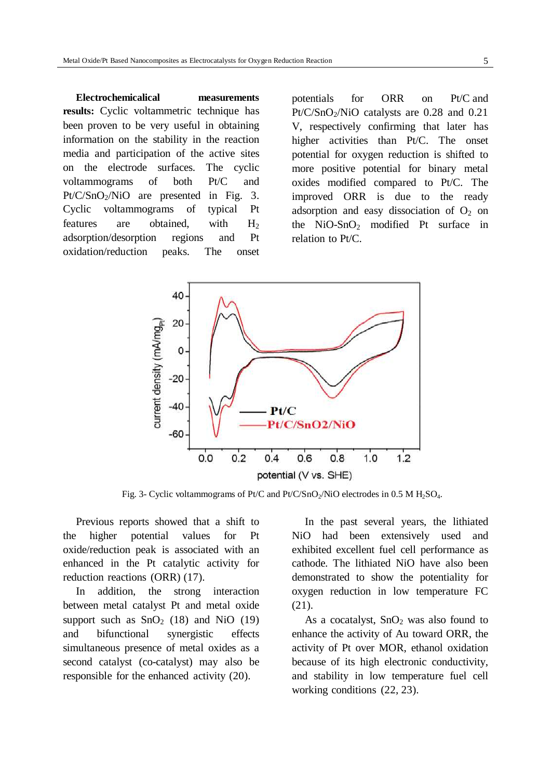**Electrochemicalical measurements results:** Cyclic voltammetric technique has been proven to be very useful in obtaining information on the stability in the reaction media and participation of the active sites on the electrode surfaces. The cyclic voltammograms of both Pt/C and Pt/C/SnO2/NiO are presented in Fig. 3. Cyclic voltammograms of typical Pt features are obtained, with H<sup>2</sup> adsorption/desorption regions and Pt oxidation/reduction peaks. The onset

potentials for ORR on Pt/C and  $Pt/C/SnO<sub>2</sub>/NiO$  catalysts are 0.28 and 0.21 V, respectively confirming that later has higher activities than Pt/C. The onset potential for oxygen reduction is shifted to more positive potential for binary metal oxides modified compared to Pt/C. The improved ORR is due to the ready adsorption and easy dissociation of  $O<sub>2</sub>$  on the  $NiO-SnO<sub>2</sub>$  modified Pt surface in relation to Pt/C.



Fig. 3- Cyclic voltammograms of Pt/C and Pt/C/SnO<sub>2</sub>/NiO electrodes in 0.5 M H<sub>2</sub>SO<sub>4</sub>.

Previous reports showed that a shift to the higher potential values for Pt oxide/reduction peak is associated with an enhanced in the Pt catalytic activity for reduction reactions (ORR) (17).

In addition, the strong interaction between metal catalyst Pt and metal oxide support such as  $SnO<sub>2</sub>$  (18) and NiO (19) and bifunctional synergistic effects simultaneous presence of metal oxides as a second catalyst (co-catalyst) may also be responsible for the enhanced activity (20).

In the past several years, the lithiated NiO had been extensively used and exhibited excellent fuel cell performance as cathode. The lithiated NiO have also been demonstrated to show the potentiality for oxygen reduction in low temperature FC (21).

As a cocatalyst,  $SnO<sub>2</sub>$  was also found to enhance the activity of Au toward ORR, the activity of Pt over MOR, ethanol oxidation because of its high electronic conductivity, and stability in low temperature fuel cell working conditions (22, 23).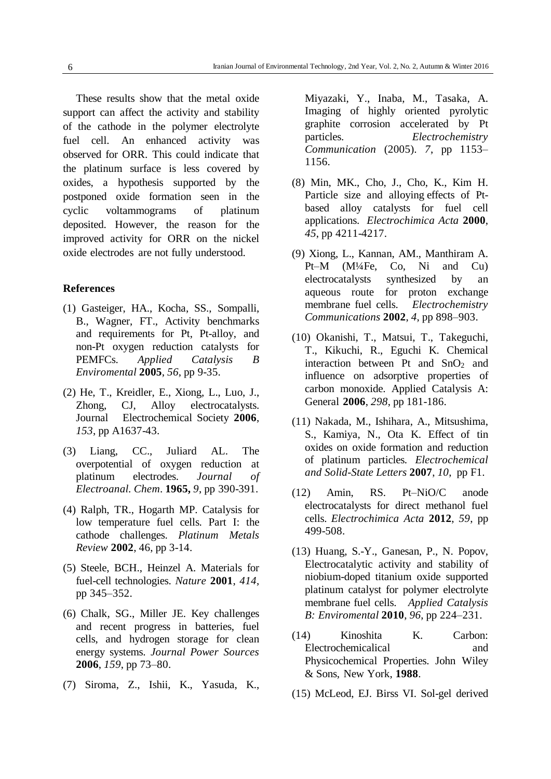These results show that the metal oxide support can affect the activity and stability of the cathode in the polymer electrolyte fuel cell. An enhanced activity was observed for ORR. This could indicate that the platinum surface is less covered by oxides, a hypothesis supported by the postponed oxide formation seen in the cyclic voltammograms of platinum deposited. However, the reason for the improved activity for ORR on the nickel oxide electrodes are not fully understood.

## **References**

- (1) Gasteiger, HA., Kocha, SS., Sompalli, B., Wagner, FT., Activity benchmarks and requirements for Pt, Pt-alloy, and non-Pt oxygen reduction catalysts for PEMFCs. *Applied Catalysis B Enviromental* **2005**, *56*, pp 9-35.
- (2) He, T., Kreidler, E., Xiong, L., Luo, J., Zhong, CJ, Alloy electrocatalysts. Journal Electrochemical Society **2006**, *153*, pp A1637-43.
- (3) Liang, CC., Juliard AL. The overpotential of oxygen reduction at platinum electrodes. *Journal of Electroanal. Chem*. **1965,** *9*, pp 390-391.
- (4) Ralph, TR., Hogarth MP. Catalysis for low temperature fuel cells. Part I: the cathode challenges. *Platinum Metals Review* **2002**, 46, pp 3-14.
- (5) Steele, BCH., Heinzel A. Materials for fuel-cell technologies. *Nature* **2001**, *414*, pp 345–352.
- (6) Chalk, SG., Miller JE. Key challenges and recent progress in batteries, fuel cells, and hydrogen storage for clean energy systems. *Journal Power Sources* **2006**, *159*, pp 73–80.
- (7) Siroma, Z., Ishii, K., Yasuda, K.,

Miyazaki, Y., Inaba, M., Tasaka, A. Imaging of highly oriented pyrolytic graphite corrosion accelerated by Pt particles. *Electrochemistry Communication* (2005). *7*, pp 1153– 1156.

- (8) Min, MK., Cho, J., Cho, K., Kim H. Particle size and alloying effects of Ptbased alloy catalysts for fuel cell applications. *Electrochimica Acta* **2000**, *45*, pp 4211-4217.
- (9) Xiong, L., Kannan, AM., Manthiram A. Pt–M (M¼Fe, Co, Ni and Cu) electrocatalysts synthesized by an aqueous route for proton exchange membrane fuel cells. *Electrochemistry Communications* **2002**, *4*, pp 898–903.
- (10) Okanishi, T., Matsui, T., Takeguchi, T., Kikuchi, R., Eguchi K. Chemical interaction between Pt and  $SnO<sub>2</sub>$  and influence on adsorptive properties of carbon monoxide. Applied Catalysis A: General **2006**, *298*, pp 181-186.
- (11) Nakada, M., Ishihara, A., Mitsushima, S., Kamiya, N., Ota K. Effect of tin oxides on oxide formation and reduction of platinum particles. *Electrochemical and Solid-State Letters* **2007**, *10*, pp F1.
- (12) Amin, RS. Pt–NiO/C anode electrocatalysts for direct methanol fuel cells. *Electrochimica Acta* **2012**, *59*, pp 499-508.
- (13) Huang, S.-Y., Ganesan, P., N. Popov, Electrocatalytic activity and stability of niobium-doped titanium oxide supported platinum catalyst for polymer electrolyte membrane fuel cells. *Applied Catalysis B: Enviromental* **2010**, *96*, pp 224–231.
- (14) Kinoshita K. Carbon: Electrochemicalical and Physicochemical Properties. John Wiley & Sons, New York, **1988**.
- (15) McLeod, EJ. Birss VI. Sol-gel derived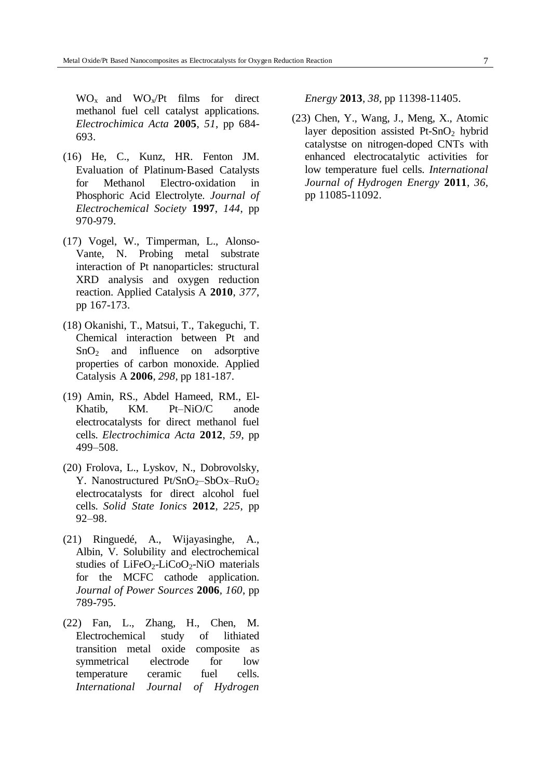$WO_x$  and  $WO_x/Pt$  films for direct methanol fuel cell catalyst applications. *Electrochimica Acta* **2005**, *51*, pp 684- 693.

- (16) He, C., Kunz, HR. Fenton JM. Evaluation of Platinum‐Based Catalysts for Methanol Electro‐oxidation in Phosphoric Acid Electrolyte. *Journal of Electrochemical Society* **1997**, *144*, pp 970-979.
- (17) Vogel, W., Timperman, L., Alonso-Vante, N. Probing metal substrate interaction of Pt nanoparticles: structural XRD analysis and oxygen reduction reaction. Applied Catalysis A **2010**, *377*, pp 167-173.
- (18) Okanishi, T., Matsui, T., Takeguchi, T. Chemical interaction between Pt and SnO<sub>2</sub> and influence on adsorptive properties of carbon monoxide. Applied Catalysis A **2006**, *298*, pp 181-187.
- (19) Amin, RS., Abdel Hameed, RM., El-Khatib, KM. Pt–NiO/C anode electrocatalysts for direct methanol fuel cells. *Electrochimica Acta* **2012**, *59*, pp 499–508.
- (20) Frolova, L., Lyskov, N., Dobrovolsky, Y. Nanostructured  $Pt/SnO<sub>2</sub> - SbOx-RuO<sub>2</sub>$ electrocatalysts for direct alcohol fuel cells. *Solid State Ionics* **2012**, *225*, pp 92–98.
- (21) Ringuedé, A., Wijayasinghe, A., Albin, V. Solubility and electrochemical studies of  $LiFeO<sub>2</sub>-LiCoO<sub>2</sub>-NiO$  materials for the MCFC cathode application. *Journal of Power Sources* **2006**, *160*, pp 789-795.
- (22) Fan, L., Zhang, H., Chen, M. Electrochemical study of lithiated transition metal oxide composite as symmetrical electrode for low temperature ceramic fuel cells. *International Journal of Hydrogen*

*Energy* **2013**, *38*, pp 11398-11405.

(23) Chen, Y., Wang, J., Meng, X., Atomic layer deposition assisted  $Pt-SnO<sub>2</sub>$  hybrid catalystse on nitrogen-doped CNTs with enhanced electrocatalytic activities for low temperature fuel cells. *International Journal of Hydrogen Energy* **2011**, *36*, pp 11085-11092.